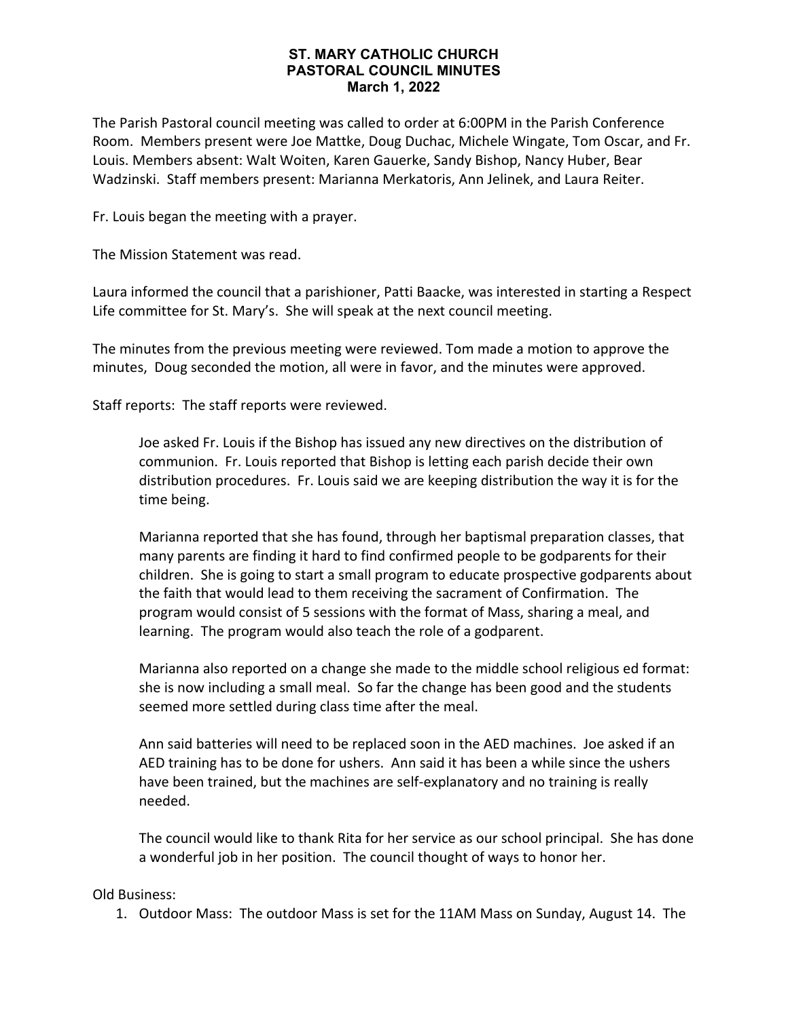## **ST. MARY CATHOLIC CHURCH PASTORAL COUNCIL MINUTES March 1, 2022**

The Parish Pastoral council meeting was called to order at 6:00PM in the Parish Conference Room. Members present were Joe Mattke, Doug Duchac, Michele Wingate, Tom Oscar, and Fr. Louis. Members absent: Walt Woiten, Karen Gauerke, Sandy Bishop, Nancy Huber, Bear Wadzinski. Staff members present: Marianna Merkatoris, Ann Jelinek, and Laura Reiter.

Fr. Louis began the meeting with a prayer.

The Mission Statement was read.

Laura informed the council that a parishioner, Patti Baacke, was interested in starting a Respect Life committee for St. Mary's. She will speak at the next council meeting.

The minutes from the previous meeting were reviewed. Tom made a motion to approve the minutes, Doug seconded the motion, all were in favor, and the minutes were approved.

Staff reports: The staff reports were reviewed.

Joe asked Fr. Louis if the Bishop has issued any new directives on the distribution of communion. Fr. Louis reported that Bishop is letting each parish decide their own distribution procedures. Fr. Louis said we are keeping distribution the way it is for the time being.

Marianna reported that she has found, through her baptismal preparation classes, that many parents are finding it hard to find confirmed people to be godparents for their children. She is going to start a small program to educate prospective godparents about the faith that would lead to them receiving the sacrament of Confirmation. The program would consist of 5 sessions with the format of Mass, sharing a meal, and learning. The program would also teach the role of a godparent.

Marianna also reported on a change she made to the middle school religious ed format: she is now including a small meal. So far the change has been good and the students seemed more settled during class time after the meal.

Ann said batteries will need to be replaced soon in the AED machines. Joe asked if an AED training has to be done for ushers. Ann said it has been a while since the ushers have been trained, but the machines are self-explanatory and no training is really needed.

The council would like to thank Rita for her service as our school principal. She has done a wonderful job in her position. The council thought of ways to honor her.

Old Business:

1. Outdoor Mass: The outdoor Mass is set for the 11AM Mass on Sunday, August 14. The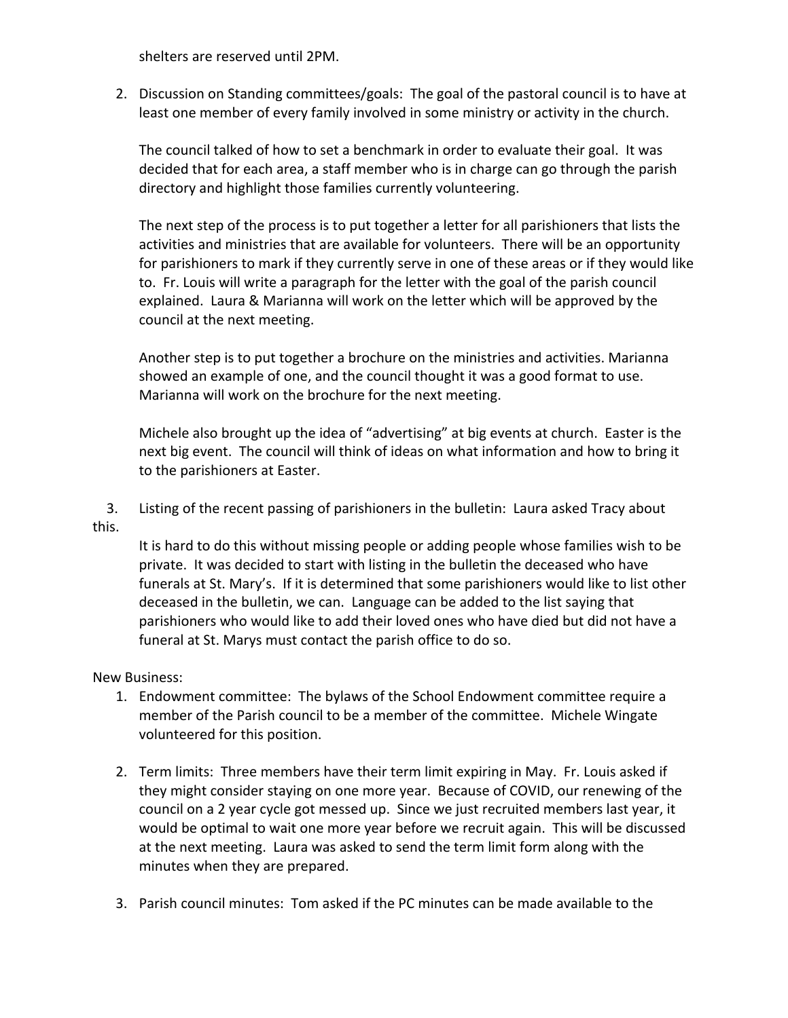shelters are reserved until 2PM.

2. Discussion on Standing committees/goals: The goal of the pastoral council is to have at least one member of every family involved in some ministry or activity in the church.

The council talked of how to set a benchmark in order to evaluate their goal. It was decided that for each area, a staff member who is in charge can go through the parish directory and highlight those families currently volunteering.

The next step of the process is to put together a letter for all parishioners that lists the activities and ministries that are available for volunteers. There will be an opportunity for parishioners to mark if they currently serve in one of these areas or if they would like to. Fr. Louis will write a paragraph for the letter with the goal of the parish council explained. Laura & Marianna will work on the letter which will be approved by the council at the next meeting.

Another step is to put together a brochure on the ministries and activities. Marianna showed an example of one, and the council thought it was a good format to use. Marianna will work on the brochure for the next meeting.

Michele also brought up the idea of "advertising" at big events at church. Easter is the next big event. The council will think of ideas on what information and how to bring it to the parishioners at Easter.

 3. Listing of the recent passing of parishioners in the bulletin: Laura asked Tracy about this.

It is hard to do this without missing people or adding people whose families wish to be private. It was decided to start with listing in the bulletin the deceased who have funerals at St. Mary's. If it is determined that some parishioners would like to list other deceased in the bulletin, we can. Language can be added to the list saying that parishioners who would like to add their loved ones who have died but did not have a funeral at St. Marys must contact the parish office to do so.

## New Business:

- 1. Endowment committee: The bylaws of the School Endowment committee require a member of the Parish council to be a member of the committee. Michele Wingate volunteered for this position.
- 2. Term limits: Three members have their term limit expiring in May. Fr. Louis asked if they might consider staying on one more year. Because of COVID, our renewing of the council on a 2 year cycle got messed up. Since we just recruited members last year, it would be optimal to wait one more year before we recruit again. This will be discussed at the next meeting. Laura was asked to send the term limit form along with the minutes when they are prepared.
- 3. Parish council minutes: Tom asked if the PC minutes can be made available to the